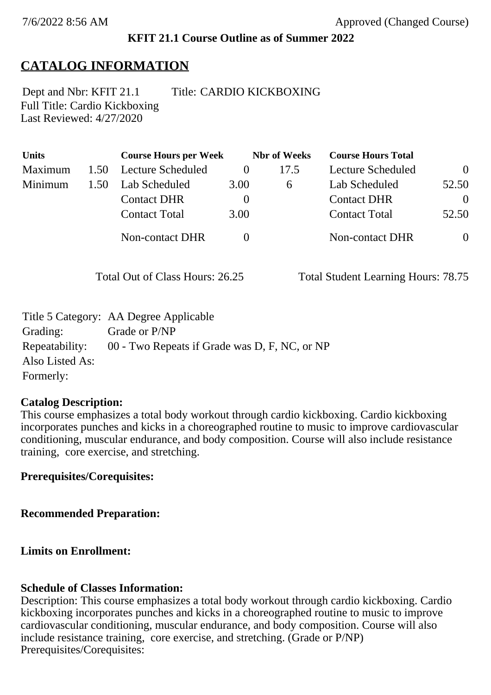## **KFIT 21.1 Course Outline as of Summer 2022**

# **CATALOG INFORMATION**

Full Title: Cardio Kickboxing Last Reviewed: 4/27/2020 Dept and Nbr: KFIT 21.1 Title: CARDIO KICKBOXING

| <b>Units</b> |      | <b>Course Hours per Week</b> |          | <b>Nbr</b> of Weeks | <b>Course Hours Total</b> |                |
|--------------|------|------------------------------|----------|---------------------|---------------------------|----------------|
| Maximum      | 1.50 | Lecture Scheduled            | $\theta$ | 17.5                | <b>Lecture Scheduled</b>  | $\Omega$       |
| Minimum      | 1.50 | Lab Scheduled                | 3.00     | $\sigma$            | Lab Scheduled             | 52.50          |
|              |      | <b>Contact DHR</b>           | $\theta$ |                     | <b>Contact DHR</b>        | $\theta$       |
|              |      | <b>Contact Total</b>         | 3.00     |                     | <b>Contact Total</b>      | 52.50          |
|              |      | <b>Non-contact DHR</b>       |          |                     | Non-contact DHR           | $\overline{0}$ |

Total Out of Class Hours: 26.25 Total Student Learning Hours: 78.75

|                 | Title 5 Category: AA Degree Applicable        |
|-----------------|-----------------------------------------------|
| Grading:        | Grade or P/NP                                 |
| Repeatability:  | 00 - Two Repeats if Grade was D, F, NC, or NP |
| Also Listed As: |                                               |
| Formerly:       |                                               |

### **Catalog Description:**

This course emphasizes a total body workout through cardio kickboxing. Cardio kickboxing incorporates punches and kicks in a choreographed routine to music to improve cardiovascular conditioning, muscular endurance, and body composition. Course will also include resistance training, core exercise, and stretching.

**Prerequisites/Corequisites:**

**Recommended Preparation:**

## **Limits on Enrollment:**

## **Schedule of Classes Information:**

Description: This course emphasizes a total body workout through cardio kickboxing. Cardio kickboxing incorporates punches and kicks in a choreographed routine to music to improve cardiovascular conditioning, muscular endurance, and body composition. Course will also include resistance training, core exercise, and stretching. (Grade or P/NP) Prerequisites/Corequisites: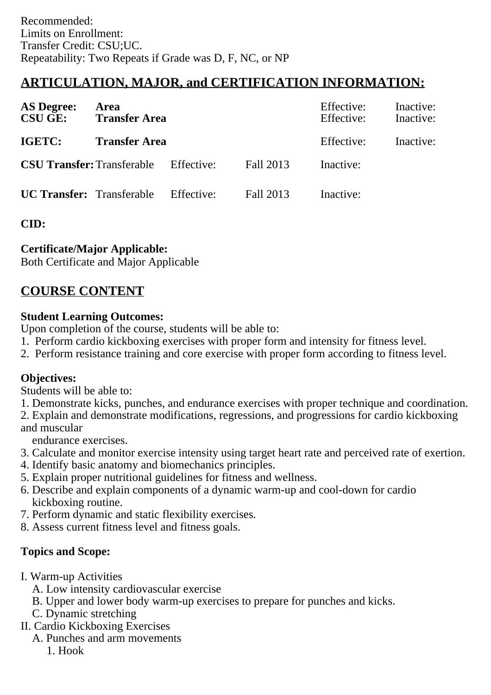## **ARTICULATION, MAJOR, and CERTIFICATION INFORMATION:**

| <b>AS Degree:</b><br><b>CSU GE:</b> | Area<br><b>Transfer Area</b>                 |            | Effective:<br>Effective: | Inactive:<br>Inactive: |  |
|-------------------------------------|----------------------------------------------|------------|--------------------------|------------------------|--|
| IGETC:                              | <b>Transfer Area</b>                         |            | Effective:               | Inactive:              |  |
|                                     | <b>CSU Transfer:</b> Transferable Effective: |            | Fall 2013                | Inactive:              |  |
| <b>UC Transfer:</b> Transferable    |                                              | Effective: | Fall 2013                | Inactive:              |  |

**CID:**

#### **Certificate/Major Applicable:**

[Both Certificate and Major Applicable](SR_ClassCheck.aspx?CourseKey=KFIT21.1)

## **COURSE CONTENT**

#### **Student Learning Outcomes:**

Upon completion of the course, students will be able to:

- 1. Perform cardio kickboxing exercises with proper form and intensity for fitness level.
- 2. Perform resistance training and core exercise with proper form according to fitness level.

#### **Objectives:**

Students will be able to:

- 1. Demonstrate kicks, punches, and endurance exercises with proper technique and coordination.
- 2. Explain and demonstrate modifications, regressions, and progressions for cardio kickboxing and muscular

endurance exercises.

- 3. Calculate and monitor exercise intensity using target heart rate and perceived rate of exertion.
- 4. Identify basic anatomy and biomechanics principles.
- 5. Explain proper nutritional guidelines for fitness and wellness.
- 6. Describe and explain components of a dynamic warm-up and cool-down for cardio kickboxing routine.
- 7. Perform dynamic and static flexibility exercises.
- 8. Assess current fitness level and fitness goals.

#### **Topics and Scope:**

- I. Warm-up Activities
	- A. Low intensity cardiovascular exercise
	- B. Upper and lower body warm-up exercises to prepare for punches and kicks.
	- C. Dynamic stretching
- II. Cardio Kickboxing Exercises
	- A. Punches and arm movements
		- 1. Hook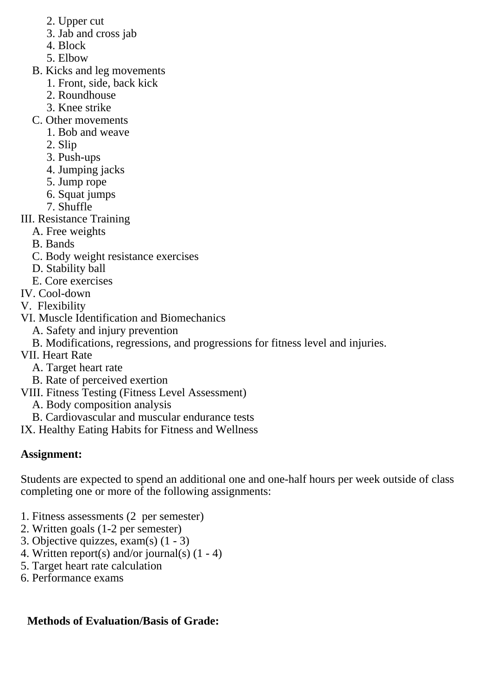- 2. Upper cut
- 3. Jab and cross jab
- 4. Block
- 5. Elbow
- B. Kicks and leg movements
	- 1. Front, side, back kick
	- 2. Roundhouse
	- 3. Knee strike
- C. Other movements
	- 1. Bob and weave
	- 2. Slip
	- 3. Push-ups
	- 4. Jumping jacks
	- 5. Jump rope
	- 6. Squat jumps
	- 7. Shuffle
- III. Resistance Training
	- A. Free weights
	- B. Bands
	- C. Body weight resistance exercises
	- D. Stability ball
	- E. Core exercises
- IV. Cool-down
- V. Flexibility
- VI. Muscle Identification and Biomechanics
	- A. Safety and injury prevention
	- B. Modifications, regressions, and progressions for fitness level and injuries.
- VII. Heart Rate
	- A. Target heart rate
	- B. Rate of perceived exertion
- VIII. Fitness Testing (Fitness Level Assessment)
	- A. Body composition analysis
	- B. Cardiovascular and muscular endurance tests
- IX. Healthy Eating Habits for Fitness and Wellness

# **Assignment:**

Students are expected to spend an additional one and one-half hours per week outside of class completing one or more of the following assignments:

- 1. Fitness assessments (2 per semester)
- 2. Written goals (1-2 per semester)
- 3. Objective quizzes, exam(s) (1 3)
- 4. Written report(s) and/or journal(s) (1 4)
- 5. Target heart rate calculation
- 6. Performance exams

# **Methods of Evaluation/Basis of Grade:**